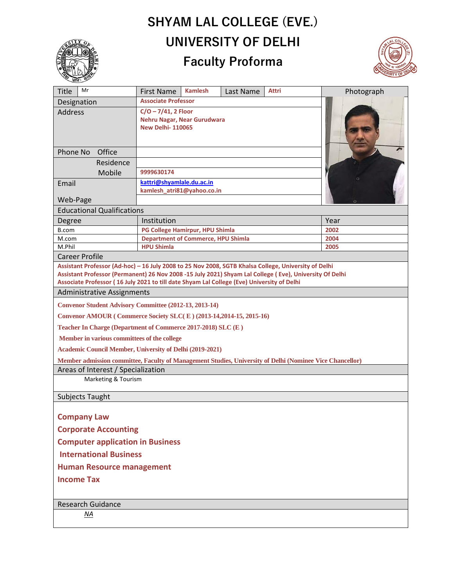## **SHYAM LAL COLLEGE (EVE.) UNIVERSITY OF DELHI Faculty Proforma**



| _धानः ≫                                                                                                                                                                                                         |                                                                                  |                |           |              |            |
|-----------------------------------------------------------------------------------------------------------------------------------------------------------------------------------------------------------------|----------------------------------------------------------------------------------|----------------|-----------|--------------|------------|
| Mr<br><b>Title</b>                                                                                                                                                                                              | <b>First Name</b>                                                                | <b>Kamlesh</b> | Last Name | <b>Attri</b> | Photograph |
| Designation                                                                                                                                                                                                     | <b>Associate Professor</b>                                                       |                |           |              |            |
| <b>Address</b>                                                                                                                                                                                                  | $C/O - 7/41$ , 2 Floor<br>Nehru Nagar, Near Gurudwara<br><b>New Delhi-110065</b> |                |           |              |            |
| Phone No<br>Office                                                                                                                                                                                              |                                                                                  |                |           |              |            |
| Residence                                                                                                                                                                                                       |                                                                                  |                |           |              |            |
| Mobile                                                                                                                                                                                                          | 9999630174                                                                       |                |           |              |            |
| Email                                                                                                                                                                                                           | kattri@shyamlale.du.ac.in<br>kamlesh_atri81@yahoo.co.in                          |                |           |              |            |
| Web-Page                                                                                                                                                                                                        |                                                                                  |                |           |              |            |
| <b>Educational Qualifications</b>                                                                                                                                                                               |                                                                                  |                |           |              |            |
| Degree                                                                                                                                                                                                          | Institution                                                                      |                |           |              | Year       |
| B.com                                                                                                                                                                                                           | PG College Hamirpur, HPU Shimla                                                  |                |           |              | 2002       |
| M.com                                                                                                                                                                                                           | <b>Department of Commerce, HPU Shimla</b>                                        |                |           |              | 2004       |
| M.Phil                                                                                                                                                                                                          | <b>HPU Shimla</b>                                                                |                |           |              | 2005       |
| <b>Career Profile</b>                                                                                                                                                                                           |                                                                                  |                |           |              |            |
| Assistant Professor (Ad-hoc) - 16 July 2008 to 25 Nov 2008, SGTB Khalsa College, University of Delhi<br>Assistant Professor (Permanent) 26 Nov 2008 -15 July 2021) Shyam Lal College (Eve), University Of Delhi |                                                                                  |                |           |              |            |
| Associate Professor (16 July 2021 to till date Shyam Lal College (Eve) University of Delhi                                                                                                                      |                                                                                  |                |           |              |            |
| <b>Administrative Assignments</b>                                                                                                                                                                               |                                                                                  |                |           |              |            |
| <b>Convenor Student Advisory Committee (2012-13, 2013-14)</b>                                                                                                                                                   |                                                                                  |                |           |              |            |
| Convenor AMOUR (Commerce Society SLC(E) (2013-14,2014-15, 2015-16)                                                                                                                                              |                                                                                  |                |           |              |            |
| Teacher In Charge (Department of Commerce 2017-2018) SLC (E)                                                                                                                                                    |                                                                                  |                |           |              |            |
| Member in various committees of the college                                                                                                                                                                     |                                                                                  |                |           |              |            |
| Academic Council Member, University of Delhi (2019-2021)                                                                                                                                                        |                                                                                  |                |           |              |            |
| Member admission committee, Faculty of Management Studies, University of Delhi (Nominee Vice Chancellor)                                                                                                        |                                                                                  |                |           |              |            |
| Areas of Interest / Specialization                                                                                                                                                                              |                                                                                  |                |           |              |            |
| Marketing & Tourism                                                                                                                                                                                             |                                                                                  |                |           |              |            |
| Subjects Taught                                                                                                                                                                                                 |                                                                                  |                |           |              |            |
|                                                                                                                                                                                                                 |                                                                                  |                |           |              |            |
| <b>Company Law</b>                                                                                                                                                                                              |                                                                                  |                |           |              |            |
| <b>Corporate Accounting</b>                                                                                                                                                                                     |                                                                                  |                |           |              |            |
| <b>Computer application in Business</b>                                                                                                                                                                         |                                                                                  |                |           |              |            |
| <b>International Business</b>                                                                                                                                                                                   |                                                                                  |                |           |              |            |
| <b>Human Resource management</b>                                                                                                                                                                                |                                                                                  |                |           |              |            |
| <b>Income Tax</b>                                                                                                                                                                                               |                                                                                  |                |           |              |            |
| <b>Research Guidance</b>                                                                                                                                                                                        |                                                                                  |                |           |              |            |
| ΝA                                                                                                                                                                                                              |                                                                                  |                |           |              |            |
|                                                                                                                                                                                                                 |                                                                                  |                |           |              |            |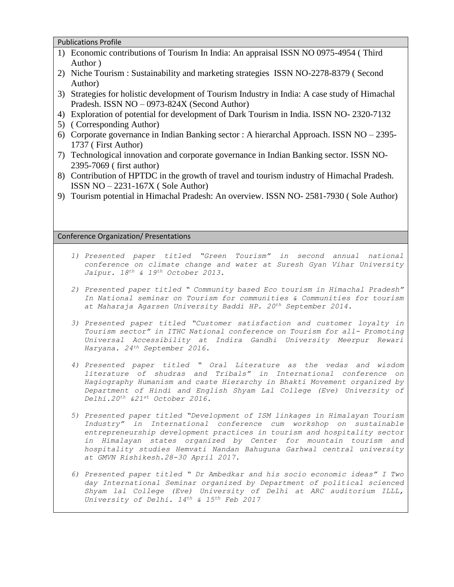Publications Profile

- 1) Economic contributions of Tourism In India: An appraisal ISSN NO 0975-4954 ( Third Author )
- 2) Niche Tourism : Sustainability and marketing strategies ISSN NO-2278-8379 ( Second Author)
- 3) Strategies for holistic development of Tourism Industry in India: A case study of Himachal Pradesh. ISSN NO – 0973-824X (Second Author)
- 4) Exploration of potential for development of Dark Tourism in India. ISSN NO- 2320-7132
- 5) ( Corresponding Author)
- 6) Corporate governance in Indian Banking sector : A hierarchal Approach. ISSN NO 2395- 1737 ( First Author)
- 7) Technological innovation and corporate governance in Indian Banking sector. ISSN NO-2395-7069 ( first author)
- 8) Contribution of HPTDC in the growth of travel and tourism industry of Himachal Pradesh. ISSN NO – 2231-167X ( Sole Author)
- 9) Tourism potential in Himachal Pradesh: An overview. ISSN NO- 2581-7930 ( Sole Author)

Conference Organization/ Presentations

- *1) Presented paper titled "Green Tourism" in second annual national conference on climate change and water at Suresh Gyan Vihar University Jaipur. 18th & 19th October 2013.*
- *2) Presented paper titled " Community based Eco tourism in Himachal Pradesh" In National seminar on Tourism for communities & Communities for tourism at Maharaja Agarsen University Baddi HP. 20th September 2014.*
- *3) Presented paper titled "Customer satisfaction and customer loyalty in Tourism sector" in ITHC National conference on Tourism for all- Promoting Universal Accessibility at Indira Gandhi University Meerpur Rewari Haryana. 24th September 2016.*
- *4) Presented paper titled " Oral Literature as the vedas and wisdom literature of shudras and Tribals" in International conference on Hagiography Humanism and caste Hierarchy in Bhakti Movement organized by Department of Hindi and English Shyam Lal College (Eve) University of Delhi.20th &21st October 2016.*
- *5) Presented paper titled "Development of ISM linkages in Himalayan Tourism Industry" in International conference cum workshop on sustainable entrepreneurship development practices in tourism and hospitality sector in Himalayan states organized by Center for mountain tourism and hospitality studies Hemvati Nandan Bahuguna Garhwal central university at GMVN Rishikesh.28-30 April 2017.*
- *6) Presented paper titled " Dr Ambedkar and his socio economic ideas" I Two day International Seminar organized by Department of political scienced Shyam lal College (Eve) University of Delhi at ARC auditorium ILLL, University of Delhi. 14th & 15th Feb 2017*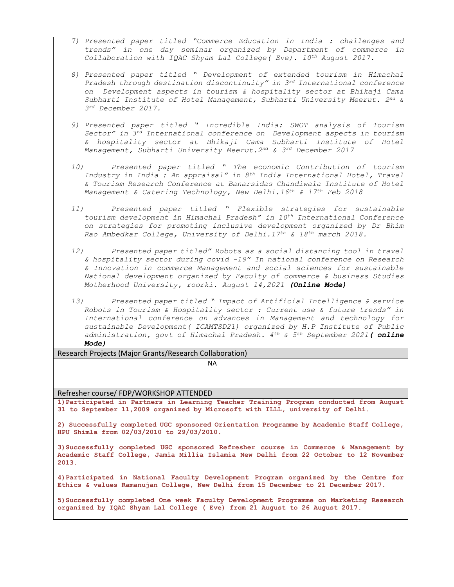- *7) Presented paper titled "Commerce Education in India : challenges and trends" in one day seminar organized by Department of commerce in Collaboration with IQAC Shyam Lal College( Eve). 10th August 2017.*
- *8) Presented paper titled " Development of extended tourism in Himachal Pradesh through destination discontinuity" in 3rd International conference on Development aspects in tourism & hospitality sector at Bhikaji Cama Subharti Institute of Hotel Management, Subharti University Meerut. 2 nd & 3 rd December 2017.*
- *9) Presented paper titled " Incredible India: SWOT analysis of Tourism Sector" in 3rd International conference on Development aspects in tourism & hospitality sector at Bhikaji Cama Subharti Institute of Hotel Management, Subharti University Meerut.2 nd & 3rd December 2017*
- *10) Presented paper titled " The economic Contribution of tourism Industry in India : An appraisal" in 8th India International Hotel, Travel & Tourism Research Conference at Banarsidas Chandiwala Institute of Hotel Management & Catering Technology, New Delhi.16th & 17th Feb 2018*
- *11) Presented paper titled " Flexible strategies for sustainable tourism development in Himachal Pradesh" in 10th International Conference on strategies for promoting inclusive development organized by Dr Bhim Rao Ambedkar College, University of Delhi.17th & 18th march 2018.*
- *12) Presented paper titled" Robots as a social distancing tool in travel & hospitality sector during covid -19" In national conference on Research & Innovation in commerce Management and social sciences for sustainable National development organized by Faculty of commerce & business Studies Motherhood University, roorki. August 14,2021 (Online Mode)*
- *13) Presented paper titled " Impact of Artificial Intelligence & service Robots in Tourism & Hospitality sector : Current use & future trends" in International conference on advances in Management and technology for sustainable Development( ICAMTSD21) organized by H.P Institute of Public administration, govt of Himachal Pradesh. 4th & 5th September 2021( online Mode)*

Research Projects (Major Grants/Research Collaboration)

NA

Refresher course/ FDP/WORKSHOP ATTENDED

**1)Participated in Partners in Learning Teacher Training Program conducted from August 31 to September 11,2009 organized by Microsoft with ILLL, university of Delhi.**

**2) Successfully completed UGC sponsored Orientation Programme by Academic Staff College, HPU Shimla from 02/03/2010 to 29/03/2010.**

**3)Successfully completed UGC sponsored Refresher course in Commerce & Management by Academic Staff College, Jamia Millia Islamia New Delhi from 22 October to 12 November 2013.**

**4)Participated in National Faculty Development Program organized by the Centre for Ethics & values Ramanujan College, New Delhi from 15 December to 21 December 2017.**

**5)Successfully completed One week Faculty Development Programme on Marketing Research organized by IQAC Shyam Lal College ( Eve) from 21 August to 26 August 2017.**